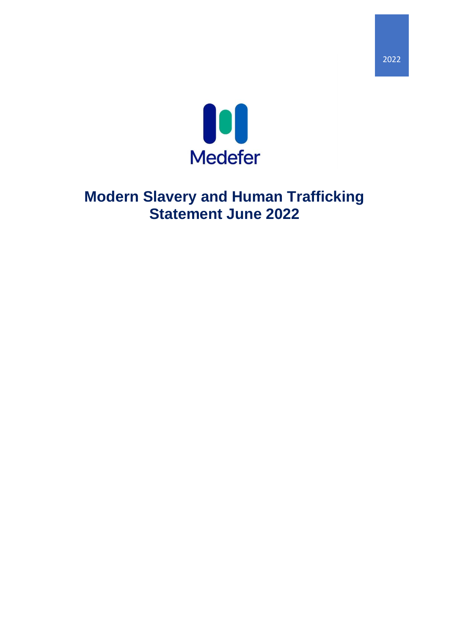

# **Modern Slavery and Human Trafficking Statement June 2022**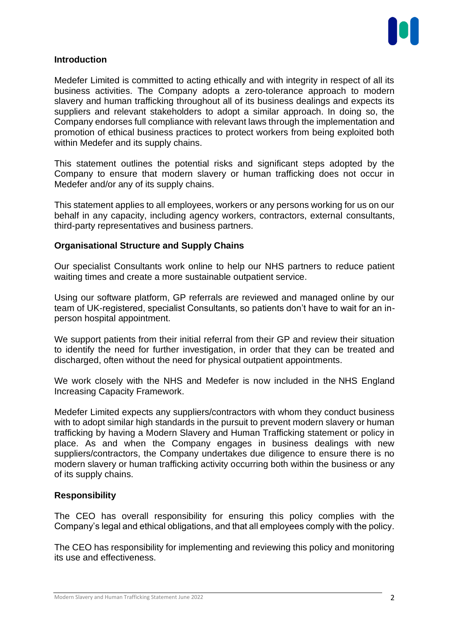

## **Introduction**

Medefer Limited is committed to acting ethically and with integrity in respect of all its business activities. The Company adopts a zero-tolerance approach to modern slavery and human trafficking throughout all of its business dealings and expects its suppliers and relevant stakeholders to adopt a similar approach. In doing so, the Company endorses full compliance with relevant laws through the implementation and promotion of ethical business practices to protect workers from being exploited both within Medefer and its supply chains.

This statement outlines the potential risks and significant steps adopted by the Company to ensure that modern slavery or human trafficking does not occur in Medefer and/or any of its supply chains.

This statement applies to all employees, workers or any persons working for us on our behalf in any capacity, including agency workers, contractors, external consultants, third-party representatives and business partners.

## **Organisational Structure and Supply Chains**

Our specialist Consultants work online to help our NHS partners to reduce patient waiting times and create a more sustainable outpatient service.

Using our software platform, GP referrals are reviewed and managed online by our team of UK-registered, specialist Consultants, so patients don't have to wait for an inperson hospital appointment.

We support patients from their initial referral from their GP and review their situation to identify the need for further investigation, in order that they can be treated and discharged, often without the need for physical outpatient appointments.

We work closely with the NHS and Medefer is now included in the NHS England Increasing Capacity Framework.

Medefer Limited expects any suppliers/contractors with whom they conduct business with to adopt similar high standards in the pursuit to prevent modern slavery or human trafficking by having a Modern Slavery and Human Trafficking statement or policy in place. As and when the Company engages in business dealings with new suppliers/contractors, the Company undertakes due diligence to ensure there is no modern slavery or human trafficking activity occurring both within the business or any of its supply chains.

## **Responsibility**

The CEO has overall responsibility for ensuring this policy complies with the Company's legal and ethical obligations, and that all employees comply with the policy.

The CEO has responsibility for implementing and reviewing this policy and monitoring its use and effectiveness.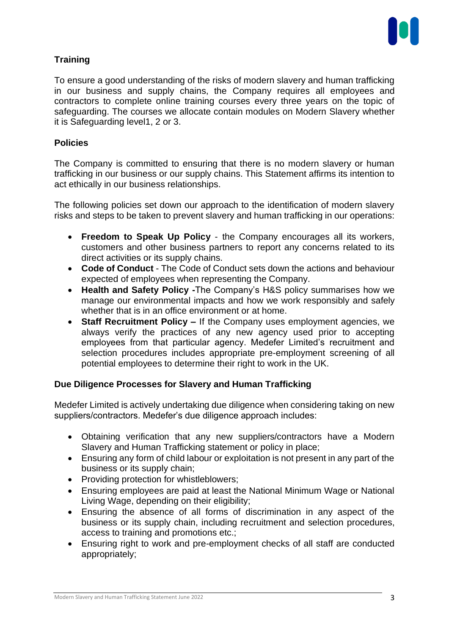

# **Training**

To ensure a good understanding of the risks of modern slavery and human trafficking in our business and supply chains, the Company requires all employees and contractors to complete online training courses every three years on the topic of safeguarding. The courses we allocate contain modules on Modern Slavery whether it is Safeguarding level1, 2 or 3.

## **Policies**

The Company is committed to ensuring that there is no modern slavery or human trafficking in our business or our supply chains. This Statement affirms its intention to act ethically in our business relationships.

The following policies set down our approach to the identification of modern slavery risks and steps to be taken to prevent slavery and human trafficking in our operations:

- **Freedom to Speak Up Policy**  the Company encourages all its workers, customers and other business partners to report any concerns related to its direct activities or its supply chains.
- **Code of Conduct** The Code of Conduct sets down the actions and behaviour expected of employees when representing the Company.
- **Health and Safety Policy -**The Company's H&S policy summarises how we manage our environmental impacts and how we work responsibly and safely whether that is in an office environment or at home.
- **Staff Recruitment Policy –** If the Company uses employment agencies, we always verify the practices of any new agency used prior to accepting employees from that particular agency. Medefer Limited's recruitment and selection procedures includes appropriate pre-employment screening of all potential employees to determine their right to work in the UK.

## **Due Diligence Processes for Slavery and Human Trafficking**

Medefer Limited is actively undertaking due diligence when considering taking on new suppliers/contractors. Medefer's due diligence approach includes:

- Obtaining verification that any new suppliers/contractors have a Modern Slavery and Human Trafficking statement or policy in place;
- Ensuring any form of child labour or exploitation is not present in any part of the business or its supply chain;
- Providing protection for whistleblowers;
- Ensuring employees are paid at least the National Minimum Wage or National Living Wage, depending on their eligibility;
- Ensuring the absence of all forms of discrimination in any aspect of the business or its supply chain, including recruitment and selection procedures, access to training and promotions etc.;
- Ensuring right to work and pre-employment checks of all staff are conducted appropriately;